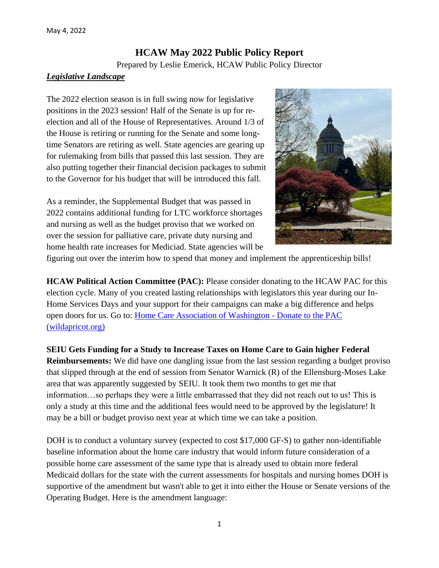# **HCAW May 2022 Public Policy Report**

Prepared by Leslie Emerick, HCAW Public Policy Director

### *Legislative Landscape*

The 2022 election season is in full swing now for legislative positions in the 2023 session! Half of the Senate is up for reelection and all of the House of Representatives. Around 1/3 of the House is retiring or running for the Senate and some longtime Senators are retiring as well. State agencies are gearing up for rulemaking from bills that passed this last session. They are also putting together their financial decision packages to submit to the Governor for his budget that will be introduced this fall.

As a reminder, the Supplemental Budget that was passed in 2022 contains additional funding for LTC workforce shortages and nursing as well as the budget proviso that we worked on over the session for palliative care, private duty nursing and home health rate increases for Mediciad. State agencies will be



figuring out over the interim how to spend that money and implement the apprenticeship bills!

**HCAW Political Action Committee (PAC):** Please consider donating to the HCAW PAC for this election cycle. Many of you created lasting relationships with legislators this year during our In-Home Services Days and your support for their campaigns can make a big difference and helps open doors for us. Go to: Home [Care Association of Washington -](https://hcaw.wildapricot.org/Donate) Donate to the PAC [\(wildapricot.org\)](https://hcaw.wildapricot.org/Donate)

**SEIU Gets Funding for a Study to Increase Taxes on Home Care to Gain higher Federal Reimbursements:** We did have one dangling issue from the last session regarding a budget proviso that slipped through at the end of session from Senator Warnick (R) of the Ellensburg-Moses Lake area that was apparently suggested by SEIU. It took them two months to get me that information…so perhaps they were a little embarrassed that they did not reach out to us! This is only a study at this time and the additional fees would need to be approved by the legislature! It may be a bill or budget proviso next year at which time we can take a position.

DOH is to conduct a voluntary survey (expected to cost \$17,000 GF-S) to gather non-identifiable baseline information about the home care industry that would inform future consideration of a possible home care assessment of the same type that is already used to obtain more federal Medicaid dollars for the state with the current assessments for hospitals and nursing homes DOH is supportive of the amendment but wasn't able to get it into either the House or Senate versions of the Operating Budget. Here is the amendment language: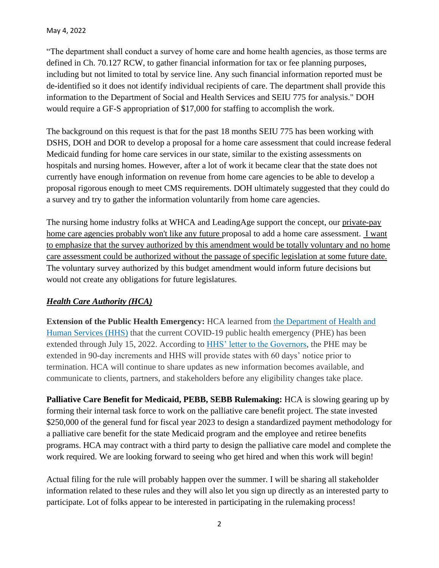"The department shall conduct a survey of home care and home health agencies, as those terms are defined in Ch. 70.127 RCW, to gather financial information for tax or fee planning purposes, including but not limited to total by service line. Any such financial information reported must be de-identified so it does not identify individual recipients of care. The department shall provide this information to the Department of Social and Health Services and SEIU 775 for analysis." DOH would require a GF-S appropriation of \$17,000 for staffing to accomplish the work.

The background on this request is that for the past 18 months SEIU 775 has been working with DSHS, DOH and DOR to develop a proposal for a home care assessment that could increase federal Medicaid funding for home care services in our state, similar to the existing assessments on hospitals and nursing homes. However, after a lot of work it became clear that the state does not currently have enough information on revenue from home care agencies to be able to develop a proposal rigorous enough to meet CMS requirements. DOH ultimately suggested that they could do a survey and try to gather the information voluntarily from home care agencies.

The nursing home industry folks at WHCA and LeadingAge support the concept, our private-pay home care agencies probably won't like any future proposal to add a home care assessment. I want to emphasize that the survey authorized by this amendment would be totally voluntary and no home care assessment could be authorized without the passage of specific legislation at some future date. The voluntary survey authorized by this budget amendment would inform future decisions but would not create any obligations for future legislatures.

### *Health Care Authority (HCA)*

**Extension of the Public Health Emergency:** HCA learned from [the Department of Health and](https://nam12.safelinks.protection.outlook.com/?url=https%3A%2F%2Flnks.gd%2Fl%2FeyJhbGciOiJIUzI1NiJ9.eyJidWxsZXRpbl9saW5rX2lkIjoxMDIsInVyaSI6ImJwMjpjbGljayIsImJ1bGxldGluX2lkIjoiMjAyMjA0MTkuNTY2Njk2NDEiLCJ1cmwiOiJodHRwczovL2FzcHIuaGhzLmdvdi9sZWdhbC9QSEUvUGFnZXMvQ09WSUQxOS0xMkFwcjIwMjIuYXNweCJ9.CcQgyd_f1sm64eGx9ubc2dF4oxe7PxSPftE78vwrEdc%2Fs%2F2134908385%2Fbr%2F130053539809-l&data=05%7C01%7C%7C271c448b8c244030719808da224d6b57%7C84df9e7fe9f640afb435aaaaaaaaaaaa%7C1%7C0%7C637860013351496561%7CUnknown%7CTWFpbGZsb3d8eyJWIjoiMC4wLjAwMDAiLCJQIjoiV2luMzIiLCJBTiI6Ik1haWwiLCJXVCI6Mn0%3D%7C3000%7C%7C%7C&sdata=O5YqhmVpY%2BiKno8Dj3eTpPAGrbTk4FsGz2CAs4pEPuM%3D&reserved=0)  [Human Services \(HHS\)](https://nam12.safelinks.protection.outlook.com/?url=https%3A%2F%2Flnks.gd%2Fl%2FeyJhbGciOiJIUzI1NiJ9.eyJidWxsZXRpbl9saW5rX2lkIjoxMDIsInVyaSI6ImJwMjpjbGljayIsImJ1bGxldGluX2lkIjoiMjAyMjA0MTkuNTY2Njk2NDEiLCJ1cmwiOiJodHRwczovL2FzcHIuaGhzLmdvdi9sZWdhbC9QSEUvUGFnZXMvQ09WSUQxOS0xMkFwcjIwMjIuYXNweCJ9.CcQgyd_f1sm64eGx9ubc2dF4oxe7PxSPftE78vwrEdc%2Fs%2F2134908385%2Fbr%2F130053539809-l&data=05%7C01%7C%7C271c448b8c244030719808da224d6b57%7C84df9e7fe9f640afb435aaaaaaaaaaaa%7C1%7C0%7C637860013351496561%7CUnknown%7CTWFpbGZsb3d8eyJWIjoiMC4wLjAwMDAiLCJQIjoiV2luMzIiLCJBTiI6Ik1haWwiLCJXVCI6Mn0%3D%7C3000%7C%7C%7C&sdata=O5YqhmVpY%2BiKno8Dj3eTpPAGrbTk4FsGz2CAs4pEPuM%3D&reserved=0) that the current COVID-19 public health emergency (PHE) has been extended through July 15, 2022. According to [HHS' letter to the Governors,](https://nam12.safelinks.protection.outlook.com/?url=https%3A%2F%2Flnks.gd%2Fl%2FeyJhbGciOiJIUzI1NiJ9.eyJidWxsZXRpbl9saW5rX2lkIjoxMDMsInVyaSI6ImJwMjpjbGljayIsImJ1bGxldGluX2lkIjoiMjAyMjA0MTkuNTY2Njk2NDEiLCJ1cmwiOiJodHRwczovL2YuZGF0YXNydnIuY29tL2ZyMS82MjEvODA5NzAvUEhFX0V4dGVuc2lvbi5ISFNfbGV0dGVyX3RvX0dvdmVybm9ycy5wZGYifQ.ppwIANYANd-ZmHt3RRKVRG7221dpLXLI0bt2nvut6nQ%2Fs%2F2134908385%2Fbr%2F130053539809-l&data=05%7C01%7C%7C271c448b8c244030719808da224d6b57%7C84df9e7fe9f640afb435aaaaaaaaaaaa%7C1%7C0%7C637860013351496561%7CUnknown%7CTWFpbGZsb3d8eyJWIjoiMC4wLjAwMDAiLCJQIjoiV2luMzIiLCJBTiI6Ik1haWwiLCJXVCI6Mn0%3D%7C3000%7C%7C%7C&sdata=bAI8alzU4i9NUe895Z5FCNH1swqNGjvhRbGNnpBIVWA%3D&reserved=0) the PHE may be extended in 90-day increments and HHS will provide states with 60 days' notice prior to termination. HCA will continue to share updates as new information becomes available, and communicate to clients, partners, and stakeholders before any eligibility changes take place.

**Palliative Care Benefit for Medicaid, PEBB, SEBB Rulemaking:** HCA is slowing gearing up by forming their internal task force to work on the palliative care benefit project. The state invested \$250,000 of the general fund for fiscal year 2023 to design a standardized payment methodology for a palliative care benefit for the state Medicaid program and the employee and retiree benefits programs. HCA may contract with a third party to design the palliative care model and complete the work required. We are looking forward to seeing who get hired and when this work will begin!

Actual filing for the rule will probably happen over the summer. I will be sharing all stakeholder information related to these rules and they will also let you sign up directly as an interested party to participate. Lot of folks appear to be interested in participating in the rulemaking process!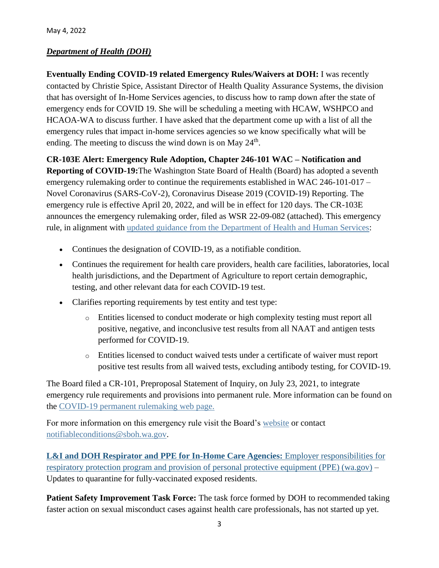# *Department of Health (DOH)*

**Eventually Ending COVID-19 related Emergency Rules/Waivers at DOH:** I was recently contacted by Christie Spice, Assistant Director of Health Quality Assurance Systems, the division that has oversight of In-Home Services agencies, to discuss how to ramp down after the state of emergency ends for COVID 19. She will be scheduling a meeting with HCAW, WSHPCO and HCAOA-WA to discuss further. I have asked that the department come up with a list of all the emergency rules that impact in-home services agencies so we know specifically what will be ending. The meeting to discuss the wind down is on May  $24<sup>th</sup>$ .

**CR-103E Alert: Emergency Rule Adoption, Chapter 246-101 WAC – Notification and** 

**Reporting of COVID-19:**The Washington State Board of Health (Board) has adopted a seventh emergency rulemaking order to continue the requirements established in WAC 246-101-017 – Novel Coronavirus (SARS-CoV-2), Coronavirus Disease 2019 (COVID-19) Reporting. The emergency rule is effective April 20, 2022, and will be in effect for 120 days. The CR-103E announces the emergency rulemaking order, filed as WSR 22-09-082 (attached). This emergency rule, in alignment with [updated guidance from the Department of Health and Human Services:](https://lnks.gd/l/eyJhbGciOiJIUzI1NiJ9.eyJidWxsZXRpbl9saW5rX2lkIjoxMDAsInVyaSI6ImJwMjpjbGljayIsImJ1bGxldGluX2lkIjoiMjAyMjA0MjIuNTY4NDg5MjEiLCJ1cmwiOiJodHRwczovL2djYzAyLnNhZmVsaW5rcy5wcm90ZWN0aW9uLm91dGxvb2suY29tLz91cmw9aHR0cHMlM0ElMkYlMkZ3d3cuY2RjLmdvdiUyRmNvcm9uYXZpcnVzJTJGMjAxOS1uY292JTJGZG93bmxvYWRzJTJGbGFiJTJGaGhzLWxhYm9yYXRvcnktcmVwb3J0aW5nLWd1aWRhbmNlLTUwOC5wZGYmZGF0YT0wNSU3QzAxJTdDTGF1cmEuQ2hyaXN0aWFuJTQwZG9oLndhLmdvdiU3Qzc5NmQyYjA0ZjczYjQ2MWZhZTYyMDhkYTI0ODA1MzBlJTdDMTFkMGUyMTcyNjRlNDAwYThiYTA1N2RjYzEyN2Q3MmQlN0MwJTdDMCU3QzYzNzg2MjQzMDgwNzk0MDQ1MSU3Q1Vua25vd24lN0NUV0ZwYkdac2IzZDhleUpXSWpvaU1DNHdMakF3TURBaUxDSlFJam9pVjJsdU16SWlMQ0pCVGlJNklrMWhhV3dpTENKWFZDSTZNbjAlM0QlN0MzMDAwJTdDJTdDJTdDJnNkYXRhPXlkWGRhJTJGckN4V0tqNUh0a05vJTJGYngwc2ZaNHI5OGZBcHBmSSUyRjdWeCUyQkZVRSUzRCZyZXNlcnZlZD0wIn0.TSRGz9WE84zoCce7qFN00qr90bTFNig30pucmgC11JY/s/717258116/br/130257187754-l)

- Continues the designation of COVID-19, as a notifiable condition.
- Continues the requirement for health care providers, health care facilities, laboratories, local health jurisdictions, and the Department of Agriculture to report certain demographic, testing, and other relevant data for each COVID-19 test.
- Clarifies reporting requirements by test entity and test type:
	- o Entities licensed to conduct moderate or high complexity testing must report all positive, negative, and inconclusive test results from all NAAT and antigen tests performed for COVID-19.
	- o Entities licensed to conduct waived tests under a certificate of waiver must report positive test results from all waived tests, excluding antibody testing, for COVID-19.

The Board filed a CR-101, Preproposal Statement of Inquiry, on July 23, 2021, to integrate emergency rule requirements and provisions into permanent rule. More information can be found on the [COVID-19 permanent rulemaking web page.](https://lnks.gd/l/eyJhbGciOiJIUzI1NiJ9.eyJidWxsZXRpbl9saW5rX2lkIjoxMDEsInVyaSI6ImJwMjpjbGljayIsImJ1bGxldGluX2lkIjoiMjAyMjA0MjIuNTY4NDg5MjEiLCJ1cmwiOiJodHRwczovL2djYzAyLnNhZmVsaW5rcy5wcm90ZWN0aW9uLm91dGxvb2suY29tLz91cmw9aHR0cHMlM0ElMkYlMkZzYm9oLndhLmdvdiUyRm5vdGlmaWFibGUtY29uZGl0aW9ucy1jb3ZpZC0xOS1wZXJtYW5lbnQtcnVsZSZkYXRhPTA1JTdDMDElN0NMYXVyYS5DaHJpc3RpYW4lNDBkb2gud2EuZ292JTdDNzk2ZDJiMDRmNzNiNDYxZmFlNjIwOGRhMjQ4MDUzMGUlN0MxMWQwZTIxNzI2NGU0MDBhOGJhMDU3ZGNjMTI3ZDcyZCU3QzAlN0MwJTdDNjM3ODYyNDMwODA3OTQwNDUxJTdDVW5rbm93biU3Q1RXRnBiR1pzYjNkOGV5SldJam9pTUM0d0xqQXdNREFpTENKUUlqb2lWMmx1TXpJaUxDSkJUaUk2SWsxaGFXd2lMQ0pYVkNJNk1uMCUzRCU3QzMwMDAlN0MlN0MlN0Mmc2RhdGE9OEU3a2FwNVJnTG1zSDdZUjhYQ29TZWo2RnUwSGg5NGRBQ0pncXdzdWV5TSUzRCZyZXNlcnZlZD0wIn0.1BrHxafx4ZI62Fa7hZbQqGgre-kcml4omtIH76cNWqQ/s/717258116/br/130257187754-l)

For more information on this emergency rule visit the Board's [website](https://lnks.gd/l/eyJhbGciOiJIUzI1NiJ9.eyJidWxsZXRpbl9saW5rX2lkIjoxMDIsInVyaSI6ImJwMjpjbGljayIsImJ1bGxldGluX2lkIjoiMjAyMjA0MjIuNTY4NDg5MjEiLCJ1cmwiOiJodHRwczovL2djYzAyLnNhZmVsaW5rcy5wcm90ZWN0aW9uLm91dGxvb2suY29tLz91cmw9aHR0cHMlM0ElMkYlMkZzYm9oLndhLmdvdiUyRlJ1bGVtYWtpbmclMkZDdXJyZW50UnVsZXNhbmRBY3Rpdml0eSUyRk5vdGlmaWFibGVDb25kaXRpb25zQ09WSUQxOVJlcG9ydGluZyZkYXRhPTA1JTdDMDElN0NMYXVyYS5DaHJpc3RpYW4lNDBkb2gud2EuZ292JTdDNzk2ZDJiMDRmNzNiNDYxZmFlNjIwOGRhMjQ4MDUzMGUlN0MxMWQwZTIxNzI2NGU0MDBhOGJhMDU3ZGNjMTI3ZDcyZCU3QzAlN0MwJTdDNjM3ODYyNDMwODA3OTQwNDUxJTdDVW5rbm93biU3Q1RXRnBiR1pzYjNkOGV5SldJam9pTUM0d0xqQXdNREFpTENKUUlqb2lWMmx1TXpJaUxDSkJUaUk2SWsxaGFXd2lMQ0pYVkNJNk1uMCUzRCU3QzMwMDAlN0MlN0MlN0Mmc2RhdGE9bnV0aXdOWnBsc2QyTXd6NHhQaW42MHUxbkFrQzJQTnJid0dCY2N1RHFtYyUzRCZyZXNlcnZlZD0wIn0.zNC0bADHxP48liVJ6Uqxv_6hmlkMKgNn7MEEHI2OGoU/s/717258116/br/130257187754-l) or contact [notifiableconditions@sboh.wa.gov.](mailto:notifiableconditions@sboh.wa.gov)

**[L&I and DOH Respirator and PPE for In-Home Care Agencies:](https://lnks.gd/l/eyJhbGciOiJIUzI1NiJ9.eyJidWxsZXRpbl9saW5rX2lkIjoxNDEsInVyaSI6ImJwMjpjbGljayIsImJ1bGxldGluX2lkIjoiMjAyMjA0MjkuNTcxOTAxMzEiLCJ1cmwiOiJodHRwczovL3d3dy5kb2gud2EuZ292L1BvcnRhbHMvMS9Eb2N1bWVudHMvMTYwMC9jb3JvbmF2aXJ1cy80MjAtMzI5LVJlc3BpcmF0b3JQUEVJbkhvbWVDYXJlLnBkZiJ9.yo6Fv1hthIyYpgfB4o6R20wkgptxJLWVokrUHyt4FNQ/s/717258116/br/130588480322-l)** Employer responsibilities for respiratory protection program and provision [of personal protective equipment \(PPE\) \(wa.gov\)](https://lnks.gd/l/eyJhbGciOiJIUzI1NiJ9.eyJidWxsZXRpbl9saW5rX2lkIjoxNDEsInVyaSI6ImJwMjpjbGljayIsImJ1bGxldGluX2lkIjoiMjAyMjA0MjkuNTcxOTAxMzEiLCJ1cmwiOiJodHRwczovL3d3dy5kb2gud2EuZ292L1BvcnRhbHMvMS9Eb2N1bWVudHMvMTYwMC9jb3JvbmF2aXJ1cy80MjAtMzI5LVJlc3BpcmF0b3JQUEVJbkhvbWVDYXJlLnBkZiJ9.yo6Fv1hthIyYpgfB4o6R20wkgptxJLWVokrUHyt4FNQ/s/717258116/br/130588480322-l) – Updates to quarantine for fully-vaccinated exposed residents.

**Patient Safety Improvement Task Force:** The task force formed by DOH to recommended taking faster action on sexual misconduct cases against health care professionals, has not started up yet.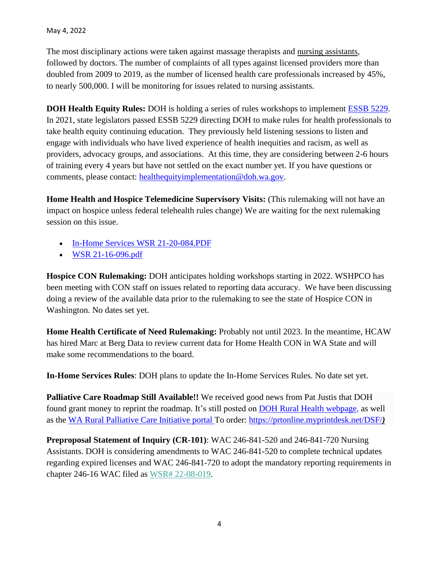The most disciplinary actions were taken against massage therapists and nursing assistants, followed by doctors. The number of complaints of all types against licensed providers more than doubled from 2009 to 2019, as the number of licensed health care professionals increased by 45%, to nearly 500,000. I will be monitoring for issues related to nursing assistants.

**DOH Health Equity Rules:** DOH is holding a series of rules workshops to implement **ESSB 5229**. In 2021, state legislators passed ESSB 5229 directing DOH to make rules for health professionals to take health equity continuing education. They previously held listening sessions to listen and engage with individuals who have lived experience of health inequities and racism, as well as providers, advocacy groups, and associations. At this time, they are considering between 2-6 hours of training every 4 years but have not settled on the exact number yet. If you have questions or comments, please contact: [healthequityimplementation@doh.wa.gov.](mailto:healthequityimplementation@doh.wa.gov)

**Home Health and Hospice Telemedicine Supervisory Visits:** (This rulemaking will not have an impact on hospice unless federal telehealth rules change) We are waiting for the next rulemaking session on this issue.

- [In-Home Services WSR 21-20-084.PDF](https://lnks.gd/l/eyJhbGciOiJIUzI1NiJ9.eyJidWxsZXRpbl9saW5rX2lkIjoxMDAsInVyaSI6ImJwMjpjbGljayIsImJ1bGxldGluX2lkIjoiMjAyMTExMjQuNDkzNTUyMDEiLCJ1cmwiOiJodHRwczovL2NvbnRlbnQuZ292ZGVsaXZlcnkuY29tL2F0dGFjaG1lbnRzL1dBRE9ILzIwMjEvMTEvMjQvZmlsZV9hdHRhY2htZW50cy8yMDA1NjAzL0luLUhvbWUlMjBTZXJ2aWNlcyUyMFdTUiUyMDIxLTIwLTA4NC5QREYifQ.2KM6WI_ejY5Cm0-wXFhkq0GJj9nJyOiAlwIE1KCiM0c/s/717258116/br/121696839483-l)
- [WSR 21-16-096.pdf](https://lnks.gd/l/eyJhbGciOiJIUzI1NiJ9.eyJidWxsZXRpbl9saW5rX2lkIjoxMDEsInVyaSI6ImJwMjpjbGljayIsImJ1bGxldGluX2lkIjoiMjAyMTExMjQuNDkzNTUyMDEiLCJ1cmwiOiJodHRwczovL2NvbnRlbnQuZ292ZGVsaXZlcnkuY29tL2F0dGFjaG1lbnRzL1dBRE9ILzIwMjEvMTEvMjQvZmlsZV9hdHRhY2htZW50cy8yMDA1NjEyL1dTUiUyMDIxLTE2LTA5Ni5wZGYifQ.HyxNxHyV0yeUScEi1RKHOCtANvaXc76Wwdtpn-gmwPw/s/717258116/br/121696839483-l)

**Hospice CON Rulemaking:** DOH anticipates holding workshops starting in 2022. WSHPCO has been meeting with CON staff on issues related to reporting data accuracy. We have been discussing doing a review of the available data prior to the rulemaking to see the state of Hospice CON in Washington. No dates set yet.

**Home Health Certificate of Need Rulemaking:** Probably not until 2023. In the meantime, HCAW has hired Marc at Berg Data to review current data for Home Health CON in WA State and will make some recommendations to the board.

**In-Home Services Rules**: DOH plans to update the In-Home Services Rules. No date set yet.

**Palliative Care Roadmap Still Available!!** We received good news from Pat Justis that DOH found grant money to reprint the roadmap. It's still posted on **DOH Rural Health webpage**, as well as the [WA Rural Palliative Care Initiative portal T](https://waportal.org/partners/home/washington-rural-palliative-care-initiative)o order: <https://prtonline.myprintdesk.net/DSF/>*)*

**Preproposal Statement of Inquiry (CR-101)**: WAC 246-841-520 and 246-841-720 Nursing Assistants. DOH is considering amendments to WAC 246-841-520 to complete technical updates regarding expired licenses and WAC 246-841-720 to adopt the mandatory reporting requirements in chapter 246-16 WAC filed as [WSR# 22-08-019.](https://lnks.gd/l/eyJhbGciOiJIUzI1NiJ9.eyJidWxsZXRpbl9saW5rX2lkIjoxMDEsInVyaSI6ImJwMjpjbGljayIsImJ1bGxldGluX2lkIjoiMjAyMjA0MTQuNTY0MjkzNTEiLCJ1cmwiOiJodHRwczovL2RvaC53YS5nb3Yvc2l0ZXMvZGVmYXVsdC9maWxlcy8yMDIyLTA0LzIyMDgwMTludXJzaW5nYXNzaXN0c2FudHRlY2huaWNhbGNoYW5nZXMxMDFmaW5hbC5wZGYifQ.6elX4AjOAM8Sr8ucG-lxdGsdEEM2U0p91-m5_1nyHSQ/s/717258116/br/129833042518-l)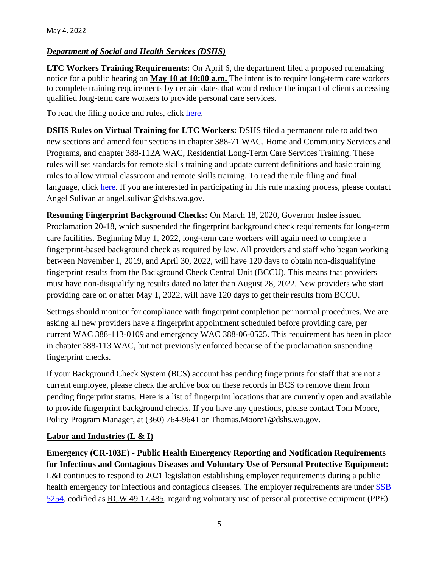## *Department of Social and Health Services (DSHS)*

**LTC Workers Training Requirements:** On April 6, the department filed a proposed rulemaking notice for a public hearing on **May 10 at 10:00 a.m.** The intent is to require long-term care workers to complete training requirements by certain dates that would reduce the impact of clients accessing qualified long-term care workers to provide personal care services.

To read the filing notice and rules, click [here.](https://lnks.gd/l/eyJhbGciOiJIUzI1NiJ9.eyJidWxsZXRpbl9saW5rX2lkIjoxMDEsInVyaSI6ImJwMjpjbGljayIsImJ1bGxldGluX2lkIjoiMjAyMjA0MTAuNTYxOTkzNjEiLCJ1cmwiOiJodHRwczovL3d3dy5kc2hzLndhLmdvdi9zaXRlcy9kZWZhdWx0L2ZpbGVzL3JwYXUvZG9jdW1lbnRzLzEwMi0yMi0wOC0xMTIucGRmP3V0bV9tZWRpdW09ZW1haWwmdXRtX3NvdXJjZT1nb3ZkZWxpdmVyeSJ9.ou9_Eq4jxSUwOqffOViqgi_iU66vckxRLqEa3fu5-so/s/815314662/br/129597148583-l)

**DSHS Rules on Virtual Training for LTC Workers:** DSHS filed a permanent rule to add two new sections and amend four sections in chapter 388-71 WAC, Home and Community Services and Programs, and chapter 388-112A WAC, Residential Long-Term Care Services Training. These rules will set standards for remote skills training and update current definitions and basic training rules to allow virtual classroom and remote skills training. To read the rule filing and final language, click [here.](https://lnks.gd/l/eyJhbGciOiJIUzI1NiJ9.eyJidWxsZXRpbl9saW5rX2lkIjoxMDEsInVyaSI6ImJwMjpjbGljayIsImJ1bGxldGluX2lkIjoiMjAyMjA0MjUuNTY5NzExODEiLCJ1cmwiOiJodHRwczovL3d3dy5kc2hzLndhLmdvdi9zaXRlcy9kZWZhdWx0L2ZpbGVzL3JwYXUvZG9jdW1lbnRzLzEwM1AtMjItMTAtMDI0LnBkZj91dG1fbWVkaXVtPWVtYWlsJnV0bV9zb3VyY2U9Z292ZGVsaXZlcnkifQ.Jr7fvVi1KEbxIUKkcndFg7zRrymUbU5i0yyJFKR745w/s/763120867/br/130342977674-l) If you are interested in participating in this rule making process, please contact Angel Sulivan at angel.sulivan@dshs.wa.gov.

**Resuming Fingerprint Background Checks:** On March 18, 2020, Governor Inslee issued Proclamation 20-18, which suspended the fingerprint background check requirements for long-term care facilities. Beginning May 1, 2022, long-term care workers will again need to complete a fingerprint-based background check as required by law. All providers and staff who began working between November 1, 2019, and April 30, 2022, will have 120 days to obtain non-disqualifying fingerprint results from the Background Check Central Unit (BCCU). This means that providers must have non-disqualifying results dated no later than August 28, 2022. New providers who start providing care on or after May 1, 2022, will have 120 days to get their results from BCCU.

Settings should monitor for compliance with fingerprint completion per normal procedures. We are asking all new providers have a fingerprint appointment scheduled before providing care, per current WAC 388-113-0109 and emergency WAC 388-06-0525. This requirement has been in place in chapter 388-113 WAC, but not previously enforced because of the proclamation suspending fingerprint checks.

If your Background Check System (BCS) account has pending fingerprints for staff that are not a current employee, please check the archive box on these records in BCS to remove them from pending fingerprint status. Here is a list of fingerprint locations that are currently open and available to provide fingerprint background checks. If you have any questions, please contact Tom Moore, Policy Program Manager, at (360) 764-9641 or Thomas.Moore1@dshs.wa.gov.

### **Labor and Industries (L & I)**

**Emergency (CR-103E) - Public Health Emergency Reporting and Notification Requirements for Infectious and Contagious Diseases and Voluntary Use of Personal Protective Equipment:**  L&I continues to respond to 2021 legislation establishing employer requirements during a public health emergency for infectious and contagious diseases. The employer requirements are under SSB [5254,](https://app.leg.wa.gov/billsummary?BillNumber=5254&Initiative=false&Year=2021) codified as [RCW 49.17.485,](https://lnks.gd/l/eyJhbGciOiJIUzI1NiJ9.eyJidWxsZXRpbl9saW5rX2lkIjoxMDIsInVyaSI6ImJwMjpjbGljayIsImJ1bGxldGluX2lkIjoiMjAyMjA0MDcuNTYwOTQ2MTEiLCJ1cmwiOiJodHRwczovL2FwcC5sZWcud2EuZ292L1JDVy9kZWZhdWx0LmFzcHg_Y2l0ZT00OS4xNy40ODUmdXRtX21lZGl1bT1lbWFpbCZ1dG1fc291cmNlPWdvdmRlbGl2ZXJ5In0._RNHSiLuyV8Mu1DMGRBYIqkOEtU3cn7U5kGtzNLIdrk/s/767908333/br/129508299077-l) regarding voluntary use of personal protective equipment (PPE)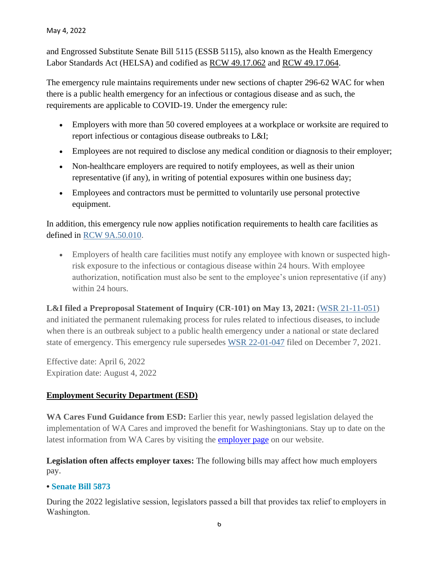and Engrossed Substitute Senate Bill 5115 (ESSB 5115), also known as the Health Emergency Labor Standards Act (HELSA) and codified as [RCW 49.17.062](https://lnks.gd/l/eyJhbGciOiJIUzI1NiJ9.eyJidWxsZXRpbl9saW5rX2lkIjoxMDMsInVyaSI6ImJwMjpjbGljayIsImJ1bGxldGluX2lkIjoiMjAyMjA0MDcuNTYwOTQ2MTEiLCJ1cmwiOiJodHRwczovL2FwcC5sZWcud2EuZ292L3Jjdy9kZWZhdWx0LmFzcHg_Y2l0ZT00OS4xNy4wNjImdXRtX21lZGl1bT1lbWFpbCZ1dG1fc291cmNlPWdvdmRlbGl2ZXJ5In0.ohlkzNh-wisr-S9YGRDEImT0V-14_5aQoZSUvZd5udk/s/767908333/br/129508299077-l) and [RCW 49.17.064.](https://lnks.gd/l/eyJhbGciOiJIUzI1NiJ9.eyJidWxsZXRpbl9saW5rX2lkIjoxMDQsInVyaSI6ImJwMjpjbGljayIsImJ1bGxldGluX2lkIjoiMjAyMjA0MDcuNTYwOTQ2MTEiLCJ1cmwiOiJodHRwczovL2FwcC5sZWcud2EuZ292L3Jjdy9kZWZhdWx0LmFzcHg_Y2l0ZT00OS4xNy4wNjQmdXRtX21lZGl1bT1lbWFpbCZ1dG1fc291cmNlPWdvdmRlbGl2ZXJ5In0.gB71BGMENeK4xb_HHxCE11P8zQr7pGLTwBSiP1wecSk/s/767908333/br/129508299077-l)

The emergency rule maintains requirements under new sections of chapter 296-62 WAC for when there is a public health emergency for an infectious or contagious disease and as such, the requirements are applicable to COVID-19. Under the emergency rule:

- Employers with more than 50 covered employees at a workplace or worksite are required to report infectious or contagious disease outbreaks to L&I;
- Employees are not required to disclose any medical condition or diagnosis to their employer;
- Non-healthcare employers are required to notify employees, as well as their union representative (if any), in writing of potential exposures within one business day;
- Employees and contractors must be permitted to voluntarily use personal protective equipment.

In addition, this emergency rule now applies notification requirements to health care facilities as defined in [RCW 9A.50.010.](https://lnks.gd/l/eyJhbGciOiJIUzI1NiJ9.eyJidWxsZXRpbl9saW5rX2lkIjoxMDUsInVyaSI6ImJwMjpjbGljayIsImJ1bGxldGluX2lkIjoiMjAyMjA0MDcuNTYwOTQ2MTEiLCJ1cmwiOiJodHRwczovL2FwcC5sZWcud2EuZ292L3Jjdy9kZWZhdWx0LmFzcHg_Y2l0ZT05QS41MC4wMTAmdXRtX21lZGl1bT1lbWFpbCZ1dG1fc291cmNlPWdvdmRlbGl2ZXJ5In0.ntdt4AVmAQrP8rYU5AvvHZbQt9pKaygGELfdm6tgGoI/s/767908333/br/129508299077-l)

• Employers of health care facilities must notify any employee with known or suspected highrisk exposure to the infectious or contagious disease within 24 hours. With employee authorization, notification must also be sent to the employee's union representative (if any) within 24 hours.

**L&I filed a Preproposal Statement of Inquiry (CR-101) on May 13, 2021:** [\(WSR 21-11-051\)](https://lnks.gd/l/eyJhbGciOiJIUzI1NiJ9.eyJidWxsZXRpbl9saW5rX2lkIjoxMDYsInVyaSI6ImJwMjpjbGljayIsImJ1bGxldGluX2lkIjoiMjAyMjA0MDcuNTYwOTQ2MTEiLCJ1cmwiOiJodHRwczovL2xhd2ZpbGVzZXh0LmxlZy53YS5nb3YvbGF3L3dzcnBkZi8yMDIxLzExLzIxLTExLTA1MS5wZGY_dXRtX21lZGl1bT1lbWFpbCZ1dG1fc291cmNlPWdvdmRlbGl2ZXJ5In0._0_PoCIMHeZuvfsWVJJuqXkkK6L6Dmya_8DWrh0PYu8/s/767908333/br/129508299077-l) and initiated the permanent rulemaking process for rules related to infectious diseases, to include when there is an outbreak subject to a public health emergency under a national or state declared state of emergency. This emergency rule supersedes [WSR 22-01-047](https://lnks.gd/l/eyJhbGciOiJIUzI1NiJ9.eyJidWxsZXRpbl9saW5rX2lkIjoxMDcsInVyaSI6ImJwMjpjbGljayIsImJ1bGxldGluX2lkIjoiMjAyMjA0MDcuNTYwOTQ2MTEiLCJ1cmwiOiJodHRwczovL2xhd2ZpbGVzZXh0LmxlZy53YS5nb3YvbGF3L3dzcnBkZi8yMDIyLzAxLzIyLTAxLTA0Ny5wZGY_dXRtX21lZGl1bT1lbWFpbCZ1dG1fc291cmNlPWdvdmRlbGl2ZXJ5In0.xtK7DOuavDhIqDvmIPNM1yKn8AbokPz1HEA1qn0bSFE/s/767908333/br/129508299077-l) filed on December 7, 2021.

Effective date: April 6, 2022 Expiration date: August 4, 2022

# **Employment Security Department (ESD)**

**WA Cares Fund Guidance from ESD:** Earlier this year, newly passed legislation delayed the implementation of WA Cares and improved the benefit for Washingtonians. Stay up to date on the latest information from WA Cares by visiting the [employer page](https://nam12.safelinks.protection.outlook.com/?url=https%3A%2F%2Flnks.gd%2Fl%2FeyJhbGciOiJIUzI1NiJ9.eyJidWxsZXRpbl9saW5rX2lkIjoxMDAsInVyaSI6ImJwMjpjbGljayIsImJ1bGxldGluX2lkIjoiMjAyMjA0MzAuNTcyMTg5NDEiLCJ1cmwiOiJodHRwczovL3dhY2FyZXNmdW5kLndhLmdvdi9lbXBsb3llcnMvP3V0bV9tZWRpdW09ZW1haWwmdXRtX3NvdXJjZT1nb3ZkZWxpdmVyeSJ9.T3uO8hQjhb5q59uoG5t8QSuD5pUkRi3HUuuBvw-NuXA%2Fs%2F756010882%2Fbr%2F130634378864-l&data=05%7C01%7C%7Cd75755ac9c824c8a7b2508da2a3de50a%7C84df9e7fe9f640afb435aaaaaaaaaaaa%7C1%7C0%7C637868742583318919%7CUnknown%7CTWFpbGZsb3d8eyJWIjoiMC4wLjAwMDAiLCJQIjoiV2luMzIiLCJBTiI6Ik1haWwiLCJXVCI6Mn0%3D%7C3000%7C%7C%7C&sdata=GmHh%2B9TxTiDRTgjiK1tVd%2BKvqV%2BbXK9cRKp87snUzUw%3D&reserved=0) on our website.

**Legislation often affects employer taxes:** The following bills may affect how much employers pay.

### **• [Senate Bill 5873](https://esd.wa.gov/employer-taxes/offset?utm_medium=email&utm_source=govdelivery#sb5873)**

During the 2022 legislative session, legislators passed a bill that provides tax relief to employers in Washington.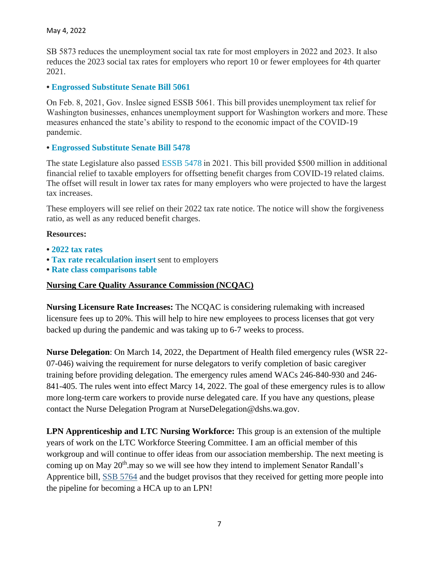SB 5873 reduces the unemployment social tax rate for most employers in 2022 and 2023. It also reduces the 2023 social tax rates for employers who report 10 or fewer employees for 4th quarter 2021.

#### **• [Engrossed Substitute Senate Bill 5061](https://esd.wa.gov/employer-taxes/offset?utm_medium=email&utm_source=govdelivery#essb5061)**

On Feb. 8, 2021, Gov. Inslee signed ESSB 5061. This bill provides unemployment tax relief for Washington businesses, enhances unemployment support for Washington workers and more. These measures enhanced the state's ability to respond to the economic impact of the COVID-19 pandemic. 

#### **• [Engrossed Substitute Senate Bill 5478](https://esd.wa.gov/employer-taxes/offset?utm_medium=email&utm_source=govdelivery#essb5478)**

The state Legislature also passed [ESSB 5478 i](https://lawfilesext.leg.wa.gov/biennium/2021-22/Pdf/Bill%20Reports/Senate/5478-S.E%20SBR%20FBR%2021.pdf?q=20220112134104)n 2021. This bill provided \$500 million in additional financial relief to taxable employers for offsetting benefit charges from COVID-19 related claims. The offset will result in lower tax rates for many employers who were projected to have the largest tax increases.

These employers will see relief on their 2022 tax rate notice. The notice will show the forgiveness ratio, as well as any reduced benefit charges.

#### **Resources:**

- **• [2022 tax rates](https://esd.wa.gov/employer-taxes/rates)**
- **• [Tax rate recalculation insert](https://media.esd.wa.gov/esdwa/Default/ESDWAGOV/employer-Taxes/SB-5873-tax-rate-insert-220315.pdf)** sent to employers
- **• [Rate class comparisons table](https://esdorchardstorage.blob.core.windows.net/esdwa/Default/ESDWAGOV/employer-Taxes/RateClassComparisonsTables-Tax-per-employee-2020-2025_ESSB%205061.xlsx)**

#### **Nursing Care Quality Assurance Commission (NCQAC)**

**Nursing Licensure Rate Increases:** The NCQAC is considering rulemaking with increased licensure fees up to 20%. This will help to hire new employees to process licenses that got very backed up during the pandemic and was taking up to 6-7 weeks to process.

**Nurse Delegation**: On March 14, 2022, the Department of Health filed emergency rules (WSR 22- 07-046) waiving the requirement for nurse delegators to verify completion of basic caregiver training before providing delegation. The emergency rules amend WACs 246-840-930 and 246- 841-405. The rules went into effect Marcy 14, 2022. The goal of these emergency rules is to allow more long-term care workers to provide nurse delegated care. If you have any questions, please contact the Nurse Delegation Program at NurseDelegation@dshs.wa.gov.

**LPN Apprenticeship and LTC Nursing Workforce:** This group is an extension of the multiple years of work on the LTC Workforce Steering Committee. I am an official member of this workgroup and will continue to offer ideas from our association membership. The next meeting is coming up on May  $20<sup>th</sup>$  may so we will see how they intend to implement Senator Randall's Apprentice bill, [SSB 5764](https://portal.lobbygov.com/dashboard) and the budget provisos that they received for getting more people into the pipeline for becoming a HCA up to an LPN!